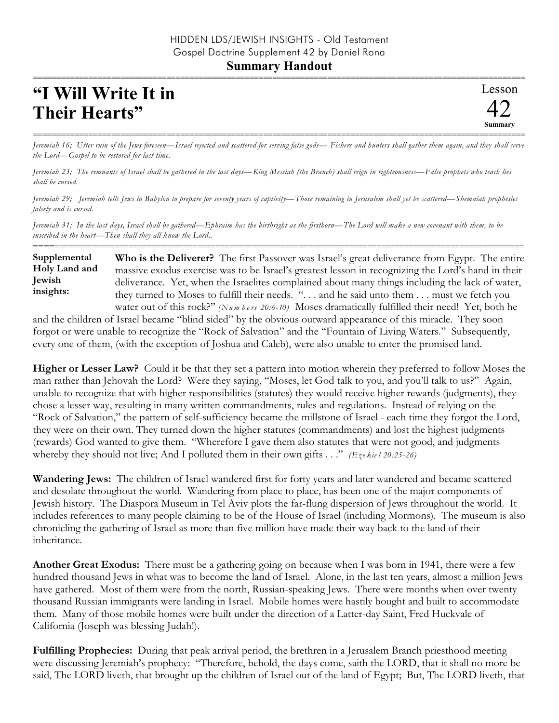## **Summary Handout**

## **"I Will Write It in Their Hearts"**

=========================================================================================================== *Jeremiah 16; Utter ruin of the Jews foreseen—Israel rejected and scattered for serving false gods— Fishers and hunters shall gather them again, and they shall serve the Lord—Gospel to be restored for last time.*

*Jeremiah 23; The remnants of Israel shall be gathered in the last days—King Messiah (the Branch) shall reign in righteousness—False prophets who teach lies shall be cursed.*

*Jeremiah 29; Jeremiah tells Jews in Babylon to prepare for seventy years of captivity—Those remaining in Jerusalem shall yet be scattered—Shemaiah prophesies falsely and is cursed.*

*Jeremiah 31; In the last days, Israel shall be gathered—Ephraim has the birthright as the firstborn—The Lord will make a new covenant with them, to be inscribed in the heart—Then shall they all know the Lord..*

**Who is the Deliverer?** The first Passover was Israel's great deliverance from Egypt. The entire massive exodus exercise was to be Israel's greatest lesson in recognizing the Lord's hand in their deliverance. Yet, when the Israelites complained about many things including the lack of water, they turned to Moses to fulfill their needs. ". . . and he said unto them . . . must we fetch you water out of this rock?" *(Numbers 20:6-10)* Moses dramatically fulfilled their need! Yet, both he **Supplemental Holy Land and Jewish insights:**

==========================================================================================================

and the children of Israel became "blind sided" by the obvious outward appearance of this miracle. They soon forgot or were unable to recognize the "Rock of Salvation" and the "Fountain of Living Waters." Subsequently, every one of them, (with the exception of Joshua and Caleb), were also unable to enter the promised land.

**Higher or Lesser Law?** Could it be that they set a pattern into motion wherein they preferred to follow Moses the man rather than Jehovah the Lord? Were they saying, "Moses, let God talk to you, and you'll talk to us?" Again, unable to recognize that with higher responsibilities (statutes) they would receive higher rewards (judgments), they chose a lesser way, resulting in many written commandments, rules and regulations. Instead of relying on the "Rock of Salvation," the pattern of self-sufficiency became the millstone of Israel - each time they forgot the Lord, they were on their own. They turned down the higher statutes (commandments) and lost the highest judgments (rewards) God wanted to give them. "Wherefore I gave them also statutes that were not good, and judgments whereby they should not live; And I polluted them in their own gifts . . ." *(Eze kie l 20:25-26)*

**Wandering Jews:** The children of Israel wandered first for forty years and later wandered and became scattered and desolate throughout the world. Wandering from place to place, has been one of the major components of Jewish history. The Diaspora Museum in Tel Aviv plots the far-flung dispersion of Jews throughout the world. It includes references to many people claiming to be of the House of Israel (including Mormons). The museum is also chronicling the gathering of Israel as more than five million have made their way back to the land of their inheritance.

**Another Great Exodus:** There must be a gathering going on because when I was born in 1941, there were a few hundred thousand Jews in what was to become the land of Israel. Alone, in the last ten years, almost a million Jews have gathered. Most of them were from the north, Russian-speaking Jews. There were months when over twenty thousand Russian immigrants were landing in Israel. Mobile homes were hastily bought and built to accommodate them. Many of those mobile homes were built under the direction of a Latter-day Saint, Fred Huckvale of California (Joseph was blessing Judah!).

**Fulfilling Prophecies:** During that peak arrival period, the brethren in a Jerusalem Branch priesthood meeting were discussing Jeremiah's prophecy: "Therefore, behold, the days come, saith the LORD, that it shall no more be said, The LORD liveth, that brought up the children of Israel out of the land of Egypt; But, The LORD liveth, that